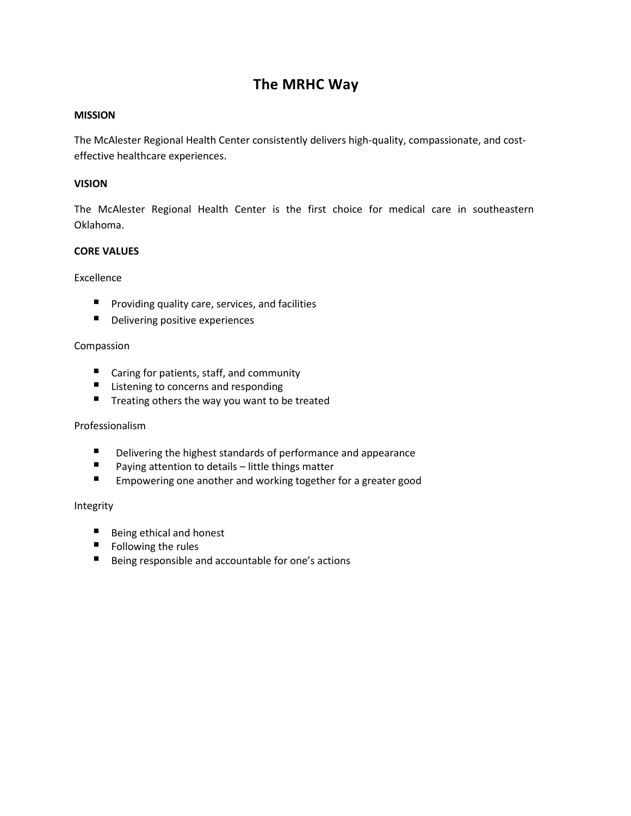## **The MRHC Way**

#### **MISSION**

The McAlester Regional Health Center consistently delivers high-quality, compassionate, and costeffective healthcare experiences.

### **VISION**

The McAlester Regional Health Center is the first choice for medical care in southeastern Oklahoma.

### **CORE VALUES**

### Excellence

- Providing quality care, services, and facilities
- Delivering positive experiences

### Compassion

- Caring for patients, staff, and community
- Listening to concerns and responding
- Treating others the way you want to be treated

### Professionalism

- Delivering the highest standards of performance and appearance
- Paying attention to details little things matter
- Empowering one another and working together for a greater good

### Integrity

- Being ethical and honest
- Following the rules
- Being responsible and accountable for one's actions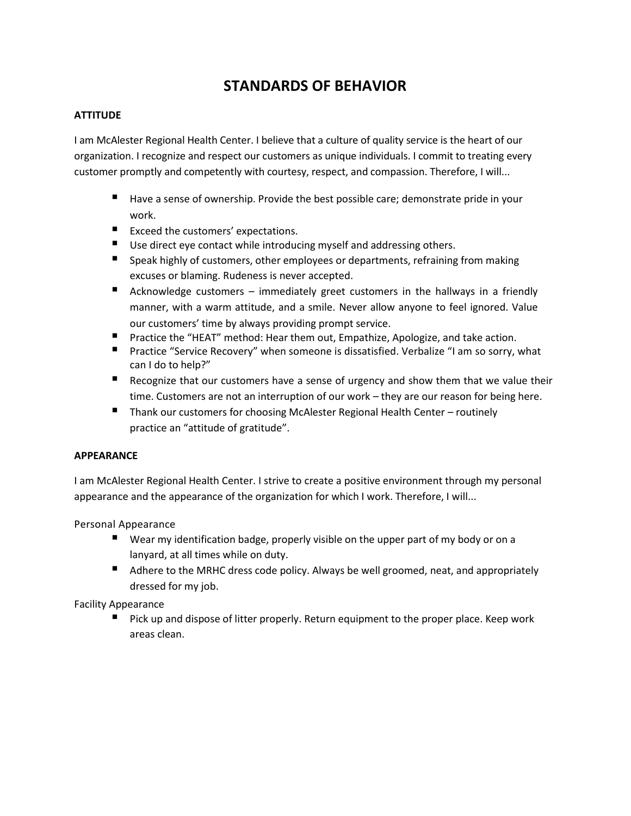# **STANDARDS OF BEHAVIOR**

## **ATTITUDE**

I am McAlester Regional Health Center. I believe that a culture of quality service is the heart of our organization. I recognize and respect our customers as unique individuals. I commit to treating every customer promptly and competently with courtesy, respect, and compassion. Therefore, I will...

- Have a sense of ownership. Provide the best possible care; demonstrate pride in your work.
- Exceed the customers' expectations.
- Use direct eye contact while introducing myself and addressing others.
- Speak highly of customers, other employees or departments, refraining from making excuses or blaming. Rudeness is never accepted.
- **E** Acknowledge customers immediately greet customers in the hallways in a friendly manner, with a warm attitude, and a smile. Never allow anyone to feel ignored. Value our customers' time by always providing prompt service.
- Practice the "HEAT" method: Hear them out, Empathize, Apologize, and take action.
- Practice "Service Recovery" when someone is dissatisfied. Verbalize "I am so sorry, what can I do to help?"
- Recognize that our customers have a sense of urgency and show them that we value their time. Customers are not an interruption of our work – they are our reason for being here.
- $\blacksquare$  Thank our customers for choosing McAlester Regional Health Center routinely practice an "attitude of gratitude".

### **APPEARANCE**

I am McAlester Regional Health Center. I strive to create a positive environment through my personal appearance and the appearance of the organization for which I work. Therefore, I will...

Personal Appearance

- $\blacksquare$  Wear my identification badge, properly visible on the upper part of my body or on a lanyard, at all times while on duty.
- Adhere to the MRHC dress code policy. Always be well groomed, neat, and appropriately dressed for my job.

Facility Appearance

Pick up and dispose of litter properly. Return equipment to the proper place. Keep work areas clean.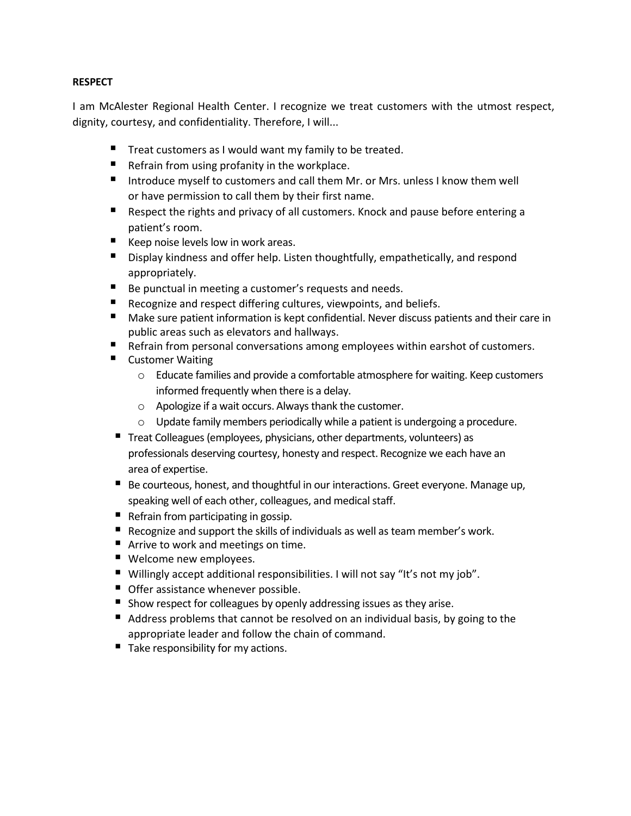### **RESPECT**

I am McAlester Regional Health Center. I recognize we treat customers with the utmost respect, dignity, courtesy, and confidentiality. Therefore, I will...

- Treat customers as I would want my family to be treated.
- Refrain from using profanity in the workplace.
- Introduce myself to customers and call them Mr. or Mrs. unless I know them well or have permission to call them by their first name.
- $\blacksquare$  Respect the rights and privacy of all customers. Knock and pause before entering a patient's room.
- Keep noise levels low in work areas.
- $\blacksquare$  Display kindness and offer help. Listen thoughtfully, empathetically, and respond appropriately.
- Be punctual in meeting a customer's requests and needs.
- Recognize and respect differing cultures, viewpoints, and beliefs.
- Make sure patient information is kept confidential. Never discuss patients and their care in public areas such as elevators and hallways.
- Refrain from personal conversations among employees within earshot of customers.
- Customer Waiting
	- o Educate families and provide a comfortable atmosphere for waiting. Keep customers informed frequently when there is a delay.
	- o Apologize if a wait occurs. Always thank the customer.
	- $\circ$  Update family members periodically while a patient is undergoing a procedure.
- Treat Colleagues (employees, physicians, other departments, volunteers) as professionals deserving courtesy, honesty and respect. Recognize we each have an area of expertise.
- Be courteous, honest, and thoughtful in our interactions. Greet everyone. Manage up, speaking well of each other, colleagues, and medical staff.
- Refrain from participating in gossip.
- $\blacksquare$  Recognize and support the skills of individuals as well as team member's work.
- Arrive to work and meetings on time.
- Welcome new employees.
- Willingly accept additional responsibilities. I will not say "It's not my job".
- Offer assistance whenever possible.
- Show respect for colleagues by openly addressing issues as they arise.
- $\blacksquare$  Address problems that cannot be resolved on an individual basis, by going to the appropriate leader and follow the chain of command.
- Take responsibility for my actions.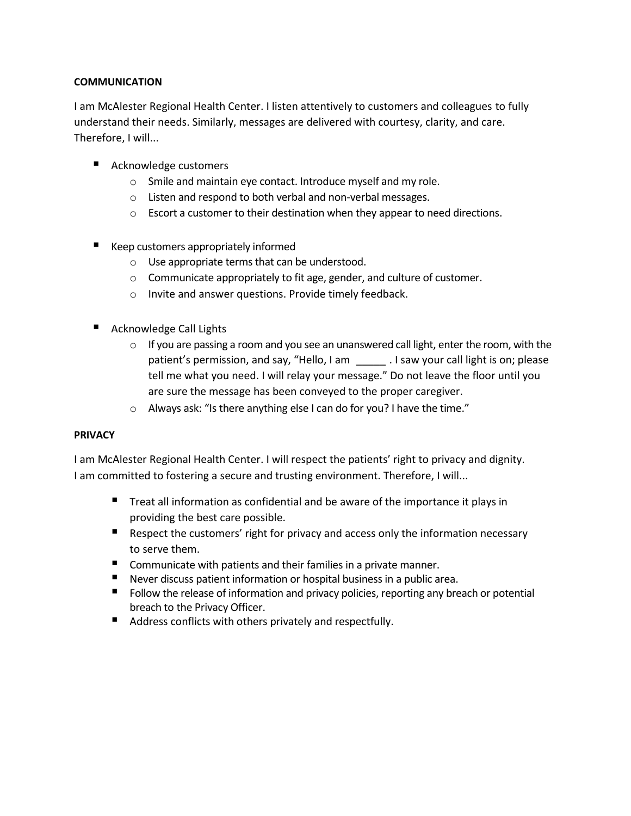## **COMMUNICATION**

I am McAlester Regional Health Center. I listen attentively to customers and colleagues to fully understand their needs. Similarly, messages are delivered with courtesy, clarity, and care. Therefore, I will...

- Acknowledge customers
	- o Smile and maintain eye contact. Introduce myself and my role.
	- o Listen and respond to both verbal and non-verbal messages.
	- o Escort a customer to their destination when they appear to need directions.
- Keep customers appropriately informed
	- o Use appropriate terms that can be understood.
	- o Communicate appropriately to fit age, gender, and culture of customer.
	- o Invite and answer questions. Provide timely feedback.
- Acknowledge Call Lights
	- $\circ$  If you are passing a room and you see an unanswered call light, enter the room, with the patient's permission, and say, "Hello, I am \_\_\_\_\_ . I saw your call light is on; please tell me what you need. I will relay your message." Do not leave the floor until you are sure the message has been conveyed to the proper caregiver.
	- o Always ask: "Is there anything else I can do for you? I have the time."

### **PRIVACY**

I am McAlester Regional Health Center. I will respect the patients' right to privacy and dignity. I am committed to fostering a secure and trusting environment. Therefore, I will...

- Treat all information as confidential and be aware of the importance it plays in providing the best care possible.
- Respect the customers' right for privacy and access only the information necessary to serve them.
- Communicate with patients and their families in a private manner.
- Never discuss patient information or hospital business in a public area.
- Follow the release of information and privacy policies, reporting any breach or potential breach to the Privacy Officer.
- Address conflicts with others privately and respectfully.